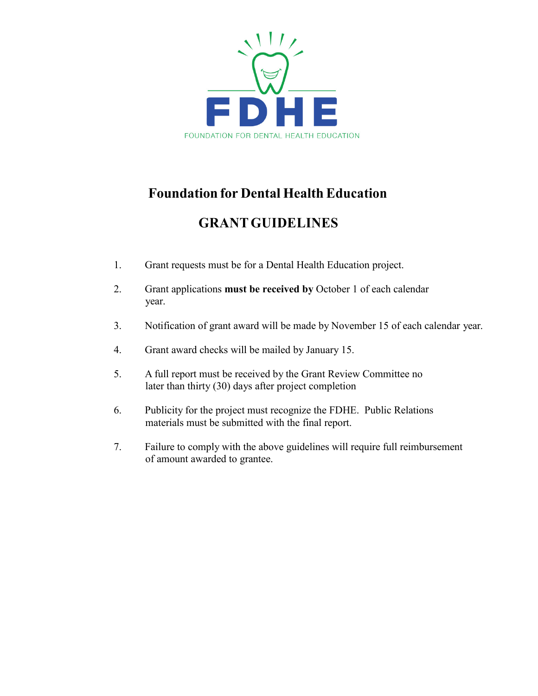

## **Foundation for Dental Health Education**

## **GRANTGUIDELINES**

- 1. Grant requests must be for a Dental Health Education project.
- 2. Grant applications **must be received by** October 1 of each calendar year.
- 3. Notification of grant award will be made by November 15 of each calendar year.
- 4. Grant award checks will be mailed by January 15.
- 5. A full report must be received by the Grant Review Committee no later than thirty (30) days after project completion
- 6. Publicity for the project must recognize the FDHE. Public Relations materials must be submitted with the final report.
- 7. Failure to comply with the above guidelines will require full reimbursement of amount awarded to grantee.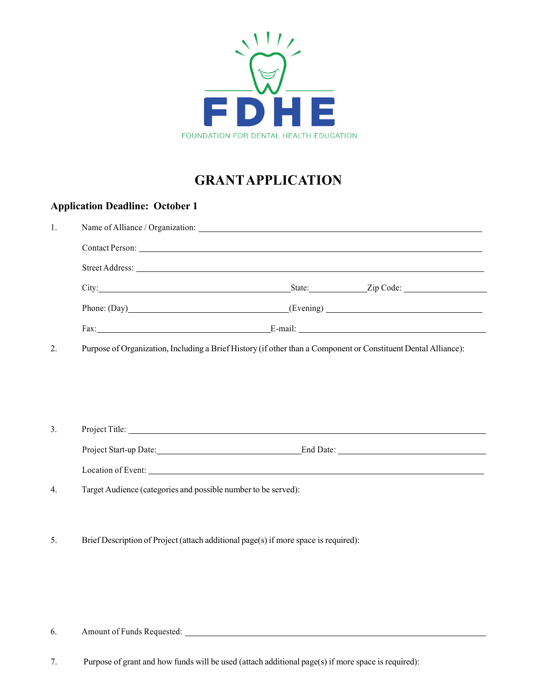

# **GRANTAPPLICATION**

## **Application Deadline: October 1**

| 1.               |                                                                                                                                                                                                                                     |  |  |  |  |  |
|------------------|-------------------------------------------------------------------------------------------------------------------------------------------------------------------------------------------------------------------------------------|--|--|--|--|--|
|                  | Contact Person: New York Contact Person:                                                                                                                                                                                            |  |  |  |  |  |
|                  |                                                                                                                                                                                                                                     |  |  |  |  |  |
|                  | City: <u>City:</u> City: City: City: City: City: City: City: City: City: City: City: City: City: City: City: City: City: City: City: City: City: City: City: City: City: City: City: City: City: City: City: City: City: City: City |  |  |  |  |  |
|                  | Phone: (Day) (Evening) (Evening)                                                                                                                                                                                                    |  |  |  |  |  |
|                  |                                                                                                                                                                                                                                     |  |  |  |  |  |
| 2.               | Purpose of Organization, Including a Brief History (if other than a Component or Constituent Dental Alliance):                                                                                                                      |  |  |  |  |  |
| $\overline{3}$ . | Project Title:                                                                                                                                                                                                                      |  |  |  |  |  |
|                  |                                                                                                                                                                                                                                     |  |  |  |  |  |
|                  |                                                                                                                                                                                                                                     |  |  |  |  |  |
| 4.               | Target Audience (categories and possible number to be served):                                                                                                                                                                      |  |  |  |  |  |

5. Brief Description of Project (attach additional page(s) if more space is required):

6. Amount of Funds Requested:

7. Purpose of grant and how funds will be used (attach additional page(s) if more space is required):